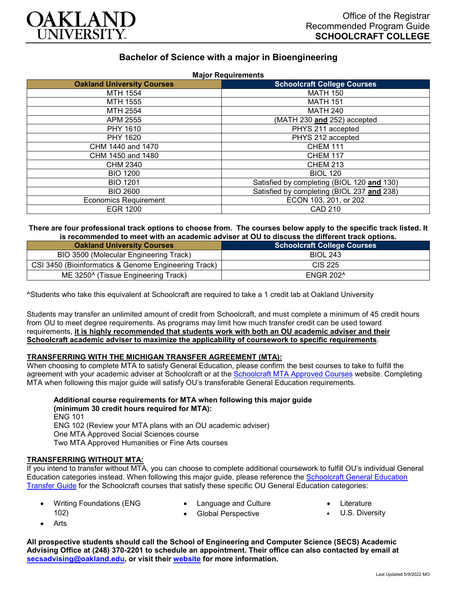

# **Bachelor of Science with a major in Bioengineering**

| <b>Major Requirements</b>         |                                            |
|-----------------------------------|--------------------------------------------|
| <b>Oakland University Courses</b> | <b>Schoolcraft College Courses</b>         |
| MTH 1554                          | <b>MATH 150</b>                            |
| MTH 1555                          | <b>MATH 151</b>                            |
| MTH 2554                          | <b>MATH 240</b>                            |
| APM 2555                          | (MATH 230 and 252) accepted                |
| PHY 1610                          | PHYS 211 accepted                          |
| PHY 1620                          | PHYS 212 accepted                          |
| CHM 1440 and 1470                 | <b>CHEM 111</b>                            |
| CHM 1450 and 1480                 | <b>CHEM 117</b>                            |
| CHM 2340                          | <b>CHEM 213</b>                            |
| <b>BIO 1200</b>                   | <b>BIOL 120</b>                            |
| <b>BIO 1201</b>                   | Satisfied by completing (BIOL 120 and 130) |
| <b>BIO 2600</b>                   | Satisfied by completing (BIOL 237 and 238) |
| <b>Economics Requirement</b>      | ECON 103, 201, or 202                      |
| EGR 1200                          | CAD 210                                    |

#### **There are four professional track options to choose from. The courses below apply to the specific track listed. It is recommended to meet with an academic adviser at OU to discuss the different track options.**

| <b>Oakland University Courses</b>                    | <b>Schoolcraft College Courses</b> |
|------------------------------------------------------|------------------------------------|
| BIO 3500 (Molecular Engineering Track)               | <b>BIOL 243</b>                    |
| CSI 3450 (Bioinformatics & Genome Engineering Track) | CIS 225                            |
| ME 3250^ (Tissue Engineering Track)                  | ENGR 202^                          |

^Students who take this equivalent at Schoolcraft are required to take a 1 credit lab at Oakland University

Students may transfer an unlimited amount of credit from Schoolcraft, and must complete a minimum of 45 credit hours from OU to meet degree requirements. As programs may limit how much transfer credit can be used toward requirements, **it is highly recommended that students work with both an OU academic adviser and their Schoolcraft academic adviser to maximize the applicability of coursework to specific requirements**.

## **TRANSFERRING WITH THE MICHIGAN TRANSFER AGREEMENT (MTA):**

When choosing to complete MTA to satisfy General Education, please confirm the best courses to take to fulfill the agreement with your academic adviser at Schoolcraft or at the [Schoolcraft MTA Approved Courses](https://www.schoolcraft.edu/academics/michigan-transfer-agreement) website. Completing MTA when following this major guide will satisfy OU's transferable General Education requirements.

**Additional course requirements for MTA when following this major guide (minimum 30 credit hours required for MTA):** ENG 101 ENG 102 (Review your MTA plans with an OU academic adviser) One MTA Approved Social Sciences course Two MTA Approved Humanities or Fine Arts courses

#### **TRANSFERRING WITHOUT MTA:**

If you intend to transfer without MTA, you can choose to complete additional coursework to fulfill OU's individual General Education categories instead. When following this major guide, please reference the [Schoolcraft General Education](https://www.oakland.edu/Assets/Oakland/program-guides/schoolcraft-college/university-general-education-requirements/Schoolcraft%20Gen%20Ed.pdf)  [Transfer Guide](https://www.oakland.edu/Assets/Oakland/program-guides/schoolcraft-college/university-general-education-requirements/Schoolcraft%20Gen%20Ed.pdf) for the Schoolcraft courses that satisfy these specific OU General Education categories:

- Writing Foundations (ENG
- Language and Culture • Global Perspective
- **Literature**
- U.S. Diversity

**Arts** 

102)

**All prospective students should call the School of Engineering and Computer Science (SECS) Academic Advising Office at (248) 370-2201 to schedule an appointment. Their office can also contacted by email at [secsadvising@oakland.edu,](mailto:secsadvising@oakland.edu) or visit their [website](https://wwwp.oakland.edu/secs/advising/) for more information.**